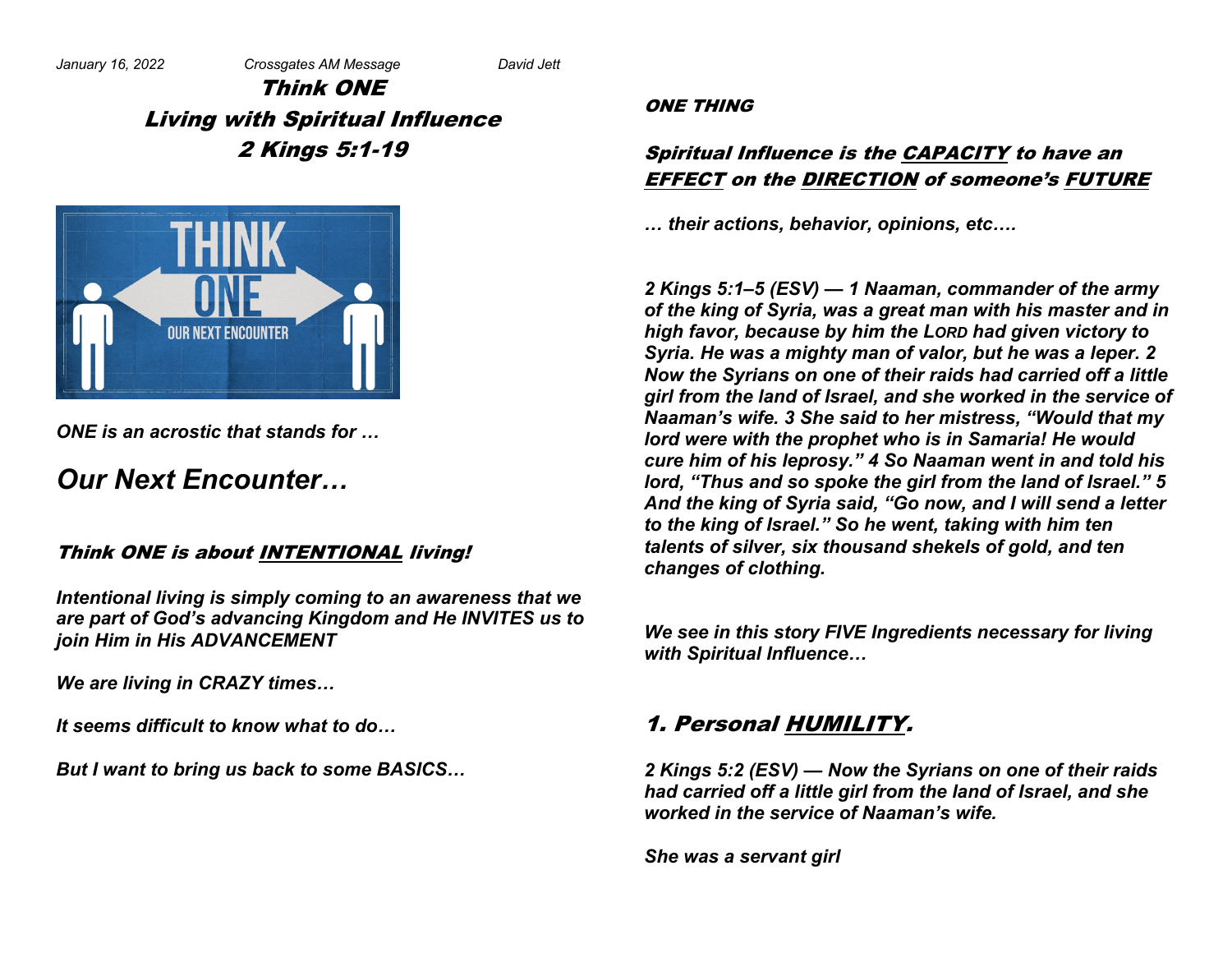Think ONE Living with Spiritual Influence 2 Kings 5:1-19



*ONE is an acrostic that stands for …*

# *Our Next Encounter…*

### Think ONE is about INTENTIONAL living!

*Intentional living is simply coming to an awareness that we are part of God's advancing Kingdom and He INVITES us to join Him in His ADVANCEMENT*

*We are living in CRAZY times…*

*It seems difficult to know what to do…*

*But I want to bring us back to some BASICS…*

#### ONE THING

### Spiritual Influence is the CAPACITY to have an EFFECT on the DIRECTION of someone's FUTURE

*… their actions, behavior, opinions, etc….*

*2 Kings 5:1–5 (ESV) — 1 Naaman, commander of the army of the king of Syria, was a great man with his master and in high favor, because by him the LORD had given victory to Syria. He was a mighty man of valor, but he was a leper. 2 Now the Syrians on one of their raids had carried off a little girl from the land of Israel, and she worked in the service of Naaman's wife. 3 She said to her mistress, "Would that my lord were with the prophet who is in Samaria! He would cure him of his leprosy." 4 So Naaman went in and told his lord, "Thus and so spoke the girl from the land of Israel." 5 And the king of Syria said, "Go now, and I will send a letter to the king of Israel." So he went, taking with him ten talents of silver, six thousand shekels of gold, and ten changes of clothing.*

*We see in this story FIVE Ingredients necessary for living with Spiritual Influence…*

# 1. Personal HUMILITY.

*2 Kings 5:2 (ESV) — Now the Syrians on one of their raids had carried off a little girl from the land of Israel, and she worked in the service of Naaman's wife.* 

*She was a servant girl*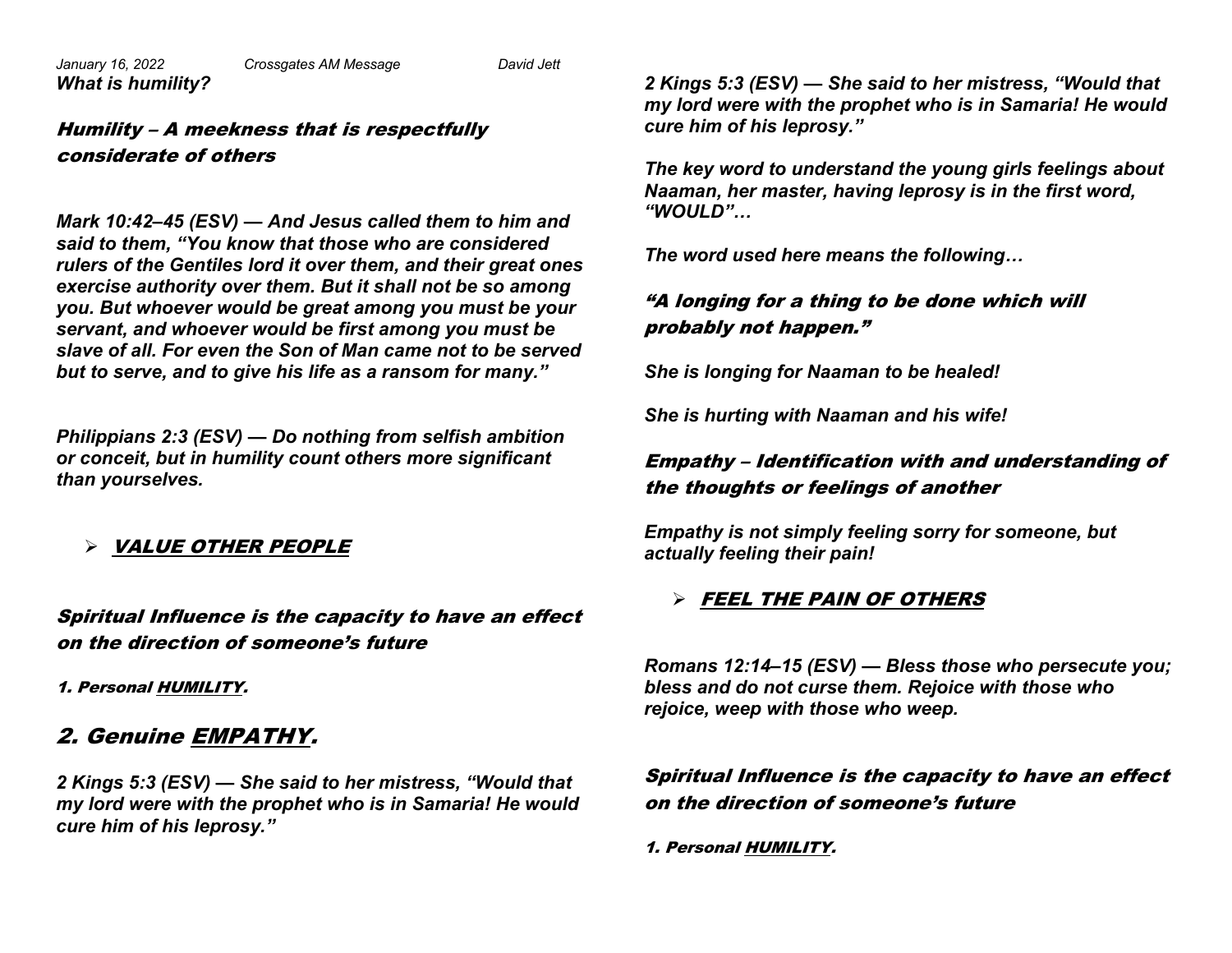*What is humility?*

### Humility – A meekness that is respectfully considerate of others

*Mark 10:42–45 (ESV) — And Jesus called them to him and said to them, "You know that those who are considered rulers of the Gentiles lord it over them, and their great ones exercise authority over them. But it shall not be so among you. But whoever would be great among you must be your servant, and whoever would be first among you must be slave of all. For even the Son of Man came not to be served but to serve, and to give his life as a ransom for many."*

*Philippians 2:3 (ESV) — Do nothing from selfish ambition or conceit, but in humility count others more significant than yourselves.*

Ø VALUE OTHER PEOPLE

Spiritual Influence is the capacity to have an effect on the direction of someone's future

1. Personal HUMILITY.

# 2. Genuine EMPATHY.

*2 Kings 5:3 (ESV) — She said to her mistress, "Would that my lord were with the prophet who is in Samaria! He would cure him of his leprosy."* 

*2 Kings 5:3 (ESV) — She said to her mistress, "Would that my lord were with the prophet who is in Samaria! He would cure him of his leprosy."* 

*The key word to understand the young girls feelings about Naaman, her master, having leprosy is in the first word, "WOULD"…*

*The word used here means the following…*

### "A longing for a thing to be done which will probably not happen."

*She is longing for Naaman to be healed!*

*She is hurting with Naaman and his wife!*

### Empathy – Identification with and understanding of the thoughts or feelings of another

*Empathy is not simply feeling sorry for someone, but actually feeling their pain!*

#### Ø FEEL THE PAIN OF OTHERS

*Romans 12:14–15 (ESV) — Bless those who persecute you; bless and do not curse them. Rejoice with those who rejoice, weep with those who weep.*

#### Spiritual Influence is the capacity to have an effect on the direction of someone's future

1. Personal HUMILITY.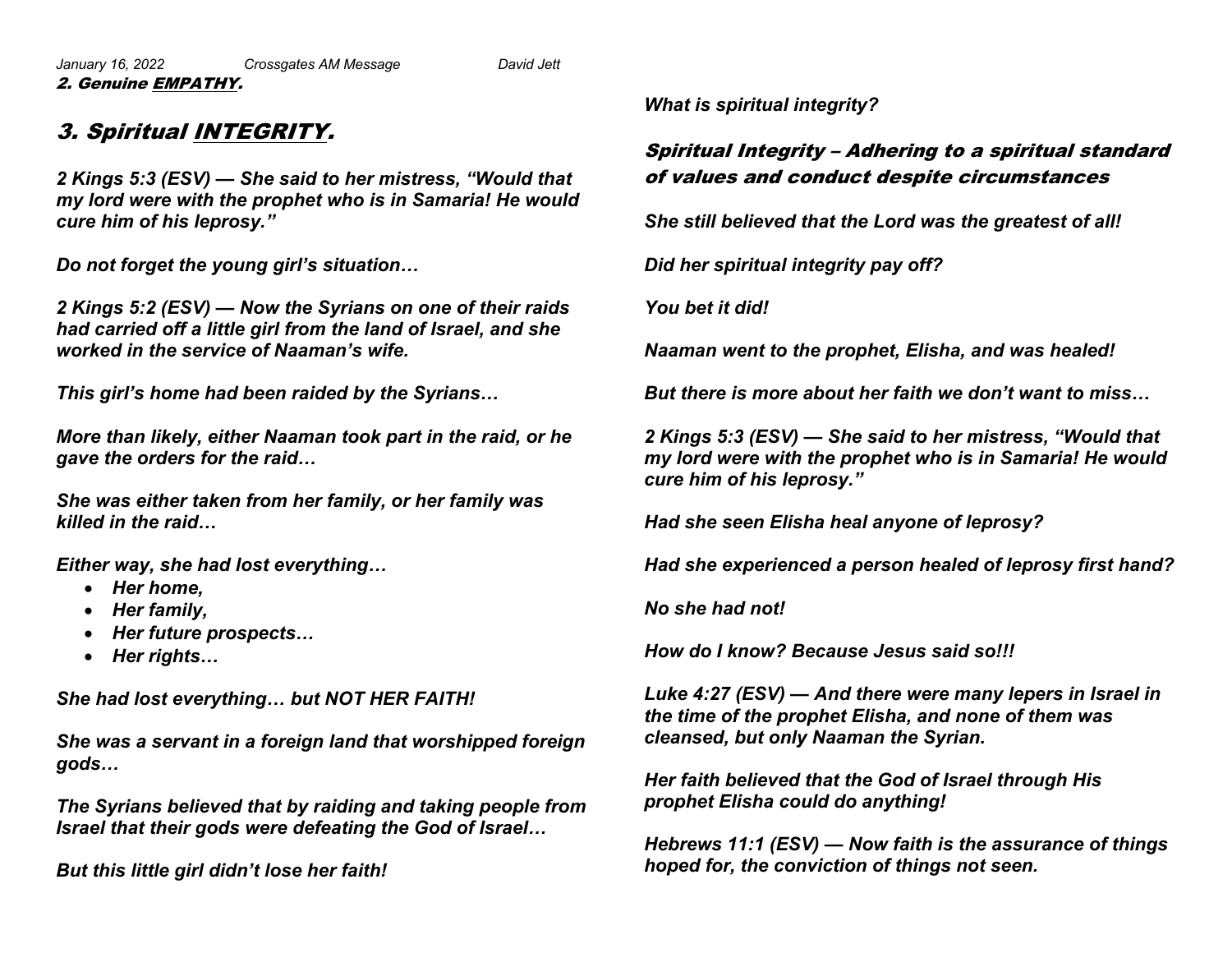*January 16, 2022 Crossgates AM Message David Jett* 2. Genuine EMPATHY.

### 3. Spiritual INTEGRITY.

*2 Kings 5:3 (ESV) — She said to her mistress, "Would that my lord were with the prophet who is in Samaria! He would cure him of his leprosy."* 

*Do not forget the young girl's situation…*

*2 Kings 5:2 (ESV) — Now the Syrians on one of their raids had carried off a little girl from the land of Israel, and she worked in the service of Naaman's wife.*

*This girl's home had been raided by the Syrians…*

*More than likely, either Naaman took part in the raid, or he gave the orders for the raid…*

*She was either taken from her family, or her family was killed in the raid…*

*Either way, she had lost everything…*

- *Her home,*
- *Her family,*
- *Her future prospects…*
- *Her rights…*

*She had lost everything… but NOT HER FAITH!*

*She was a servant in a foreign land that worshipped foreign gods…*

*The Syrians believed that by raiding and taking people from Israel that their gods were defeating the God of Israel…*

*But this little girl didn't lose her faith!*

*What is spiritual integrity?*

### Spiritual Integrity – Adhering to a spiritual standard of values and conduct despite circumstances

*She still believed that the Lord was the greatest of all!*

*Did her spiritual integrity pay off?*

*You bet it did!*

*Naaman went to the prophet, Elisha, and was healed!*

*But there is more about her faith we don't want to miss…*

*2 Kings 5:3 (ESV) — She said to her mistress, "Would that my lord were with the prophet who is in Samaria! He would cure him of his leprosy."* 

*Had she seen Elisha heal anyone of leprosy?*

*Had she experienced a person healed of leprosy first hand?*

*No she had not!*

*How do I know? Because Jesus said so!!!*

*Luke 4:27 (ESV) — And there were many lepers in Israel in the time of the prophet Elisha, and none of them was cleansed, but only Naaman the Syrian.*

*Her faith believed that the God of Israel through His prophet Elisha could do anything!*

*Hebrews 11:1 (ESV) — Now faith is the assurance of things hoped for, the conviction of things not seen.*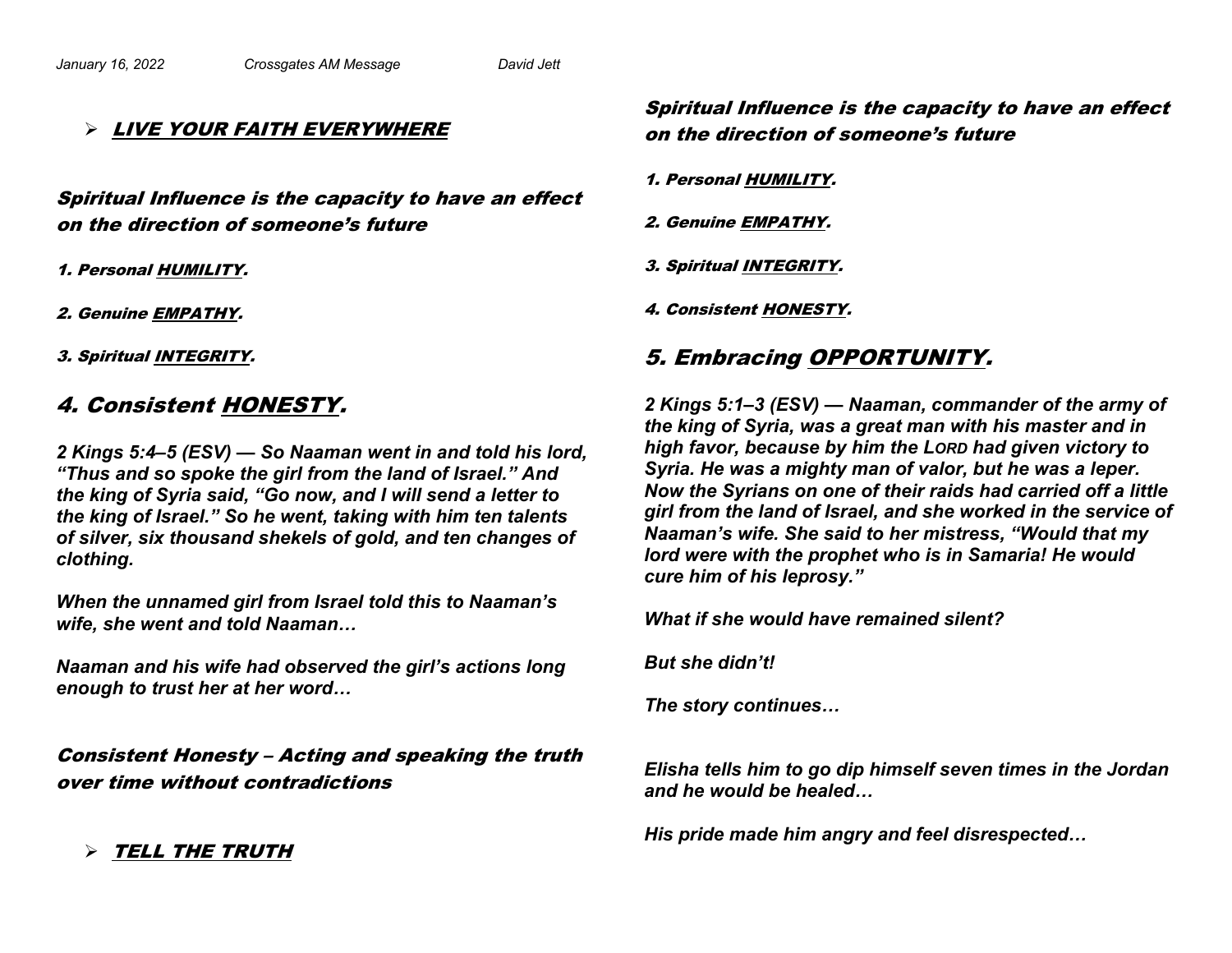#### Ø LIVE YOUR FAITH EVERYWHERE

Spiritual Influence is the capacity to have an effect on the direction of someone's future

1. Personal HUMILITY.

2. Genuine EMPATHY.

3. Spiritual INTEGRITY.

### 4. Consistent HONESTY.

*2 Kings 5:4–5 (ESV) — So Naaman went in and told his lord, "Thus and so spoke the girl from the land of Israel." And the king of Syria said, "Go now, and I will send a letter to the king of Israel." So he went, taking with him ten talents of silver, six thousand shekels of gold, and ten changes of clothing.*

*When the unnamed girl from Israel told this to Naaman's wife, she went and told Naaman…*

*Naaman and his wife had observed the girl's actions long enough to trust her at her word…*

Consistent Honesty – Acting and speaking the truth over time without contradictions

 $\triangleright$  Tell the truth

### Spiritual Influence is the capacity to have an effect on the direction of someone's future

1. Personal HUMILITY.

2. Genuine EMPATHY.

3. Spiritual INTEGRITY.

4. Consistent HONESTY.

# 5. Embracing OPPORTUNITY.

*2 Kings 5:1–3 (ESV) — Naaman, commander of the army of the king of Syria, was a great man with his master and in high favor, because by him the LORD had given victory to Syria. He was a mighty man of valor, but he was a leper. Now the Syrians on one of their raids had carried off a little girl from the land of Israel, and she worked in the service of Naaman's wife. She said to her mistress, "Would that my lord were with the prophet who is in Samaria! He would cure him of his leprosy."* 

*What if she would have remained silent?*

*But she didn't!*

*The story continues…*

*Elisha tells him to go dip himself seven times in the Jordan and he would be healed…*

*His pride made him angry and feel disrespected…*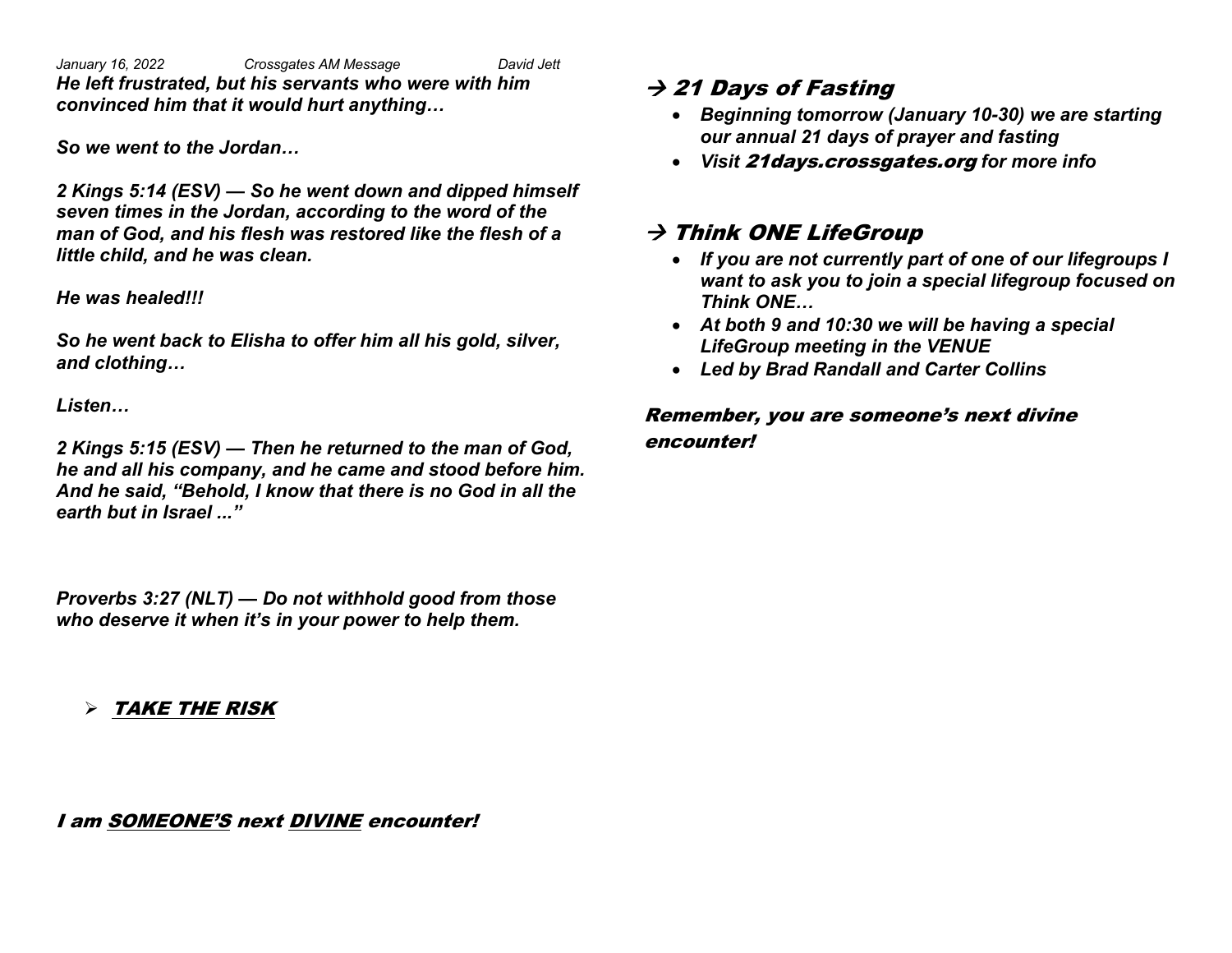*January 16, 2022 Crossgates AM Message David Jett He left frustrated, but his servants who were with him convinced him that it would hurt anything…*

*So we went to the Jordan…*

*2 Kings 5:14 (ESV) — So he went down and dipped himself seven times in the Jordan, according to the word of the man of God, and his flesh was restored like the flesh of a little child, and he was clean.*

#### *He was healed!!!*

*So he went back to Elisha to offer him all his gold, silver, and clothing…*

*Listen…*

*2 Kings 5:15 (ESV) — Then he returned to the man of God, he and all his company, and he came and stood before him. And he said, "Behold, I know that there is no God in all the earth but in Israel ..."*

*Proverbs 3:27 (NLT) — Do not withhold good from those who deserve it when it's in your power to help them.*

Ø TAKE THE RISK

I am SOMEONE'S next DIVINE encounter!

## $\rightarrow$  21 Days of Fasting

- *Beginning tomorrow (January 10-30) we are starting our annual 21 days of prayer and fasting*
- *Visit* 21days.crossgates.org *for more info*

# $\rightarrow$  Think ONE LifeGroup

- *If you are not currently part of one of our lifegroups I want to ask you to join a special lifegroup focused on Think ONE…*
- *At both 9 and 10:30 we will be having a special LifeGroup meeting in the VENUE*
- *Led by Brad Randall and Carter Collins*

### Remember, you are someone's next divine encounter!